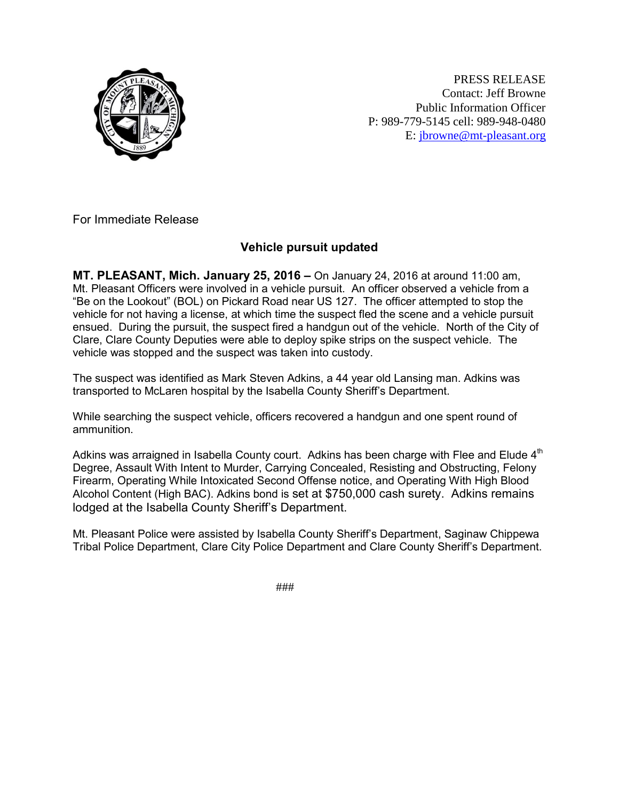

PRESS RELEASE Contact: Jeff Browne Public Information Officer P: 989-779-5145 cell: 989-948-0480 E: [jbrowne@mt-pleasant.org](mailto:jbrowne@mt-pleasant.org)

For Immediate Release

## **Vehicle pursuit updated**

**MT. PLEASANT, Mich. January 25, 2016 –** On January 24, 2016 at around 11:00 am, Mt. Pleasant Officers were involved in a vehicle pursuit. An officer observed a vehicle from a "Be on the Lookout" (BOL) on Pickard Road near US 127. The officer attempted to stop the vehicle for not having a license, at which time the suspect fled the scene and a vehicle pursuit ensued. During the pursuit, the suspect fired a handgun out of the vehicle. North of the City of Clare, Clare County Deputies were able to deploy spike strips on the suspect vehicle. The vehicle was stopped and the suspect was taken into custody.

The suspect was identified as Mark Steven Adkins, a 44 year old Lansing man. Adkins was transported to McLaren hospital by the Isabella County Sheriff's Department.

While searching the suspect vehicle, officers recovered a handgun and one spent round of ammunition.

Adkins was arraigned in Isabella County court. Adkins has been charge with Flee and Elude  $4<sup>th</sup>$ Degree, Assault With Intent to Murder, Carrying Concealed, Resisting and Obstructing, Felony Firearm, Operating While Intoxicated Second Offense notice, and Operating With High Blood Alcohol Content (High BAC). Adkins bond is set at \$750,000 cash surety. Adkins remains lodged at the Isabella County Sheriff's Department.

Mt. Pleasant Police were assisted by Isabella County Sheriff's Department, Saginaw Chippewa Tribal Police Department, Clare City Police Department and Clare County Sheriff's Department.

###